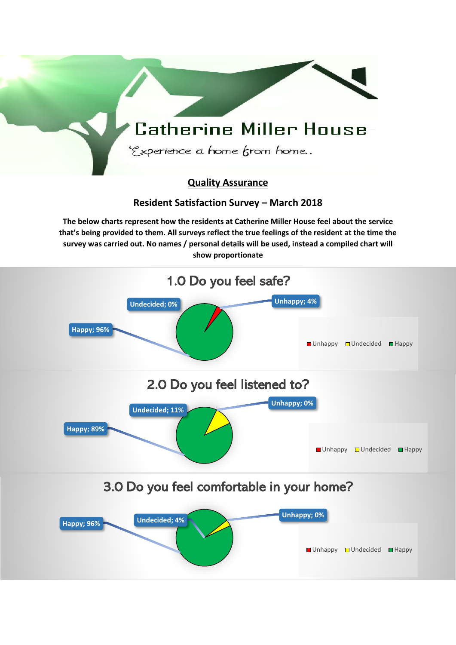## **Catherine Miller House** Experience a home from home.. **Quality Assurance Resident Satisfaction Survey – March 2018 The below charts represent how the residents at Catherine Miller House feel about the service that's being provided to them. All surveys reflect the true feelings of the resident at the time the survey was carried out. No names / personal details will be used, instead a compiled chart will show proportionate reflection. 1.0 Do you feel safe? Undecided; 0% <b>CONFIDENTIAL CONFIDENT** Unhappy; 4% **Happy; 96%** ■ Unhappy ■ Undecided ■ Happy **2.0 Do you feel listened to? Unhappy; 0% Undecided; 11% Happy; 89%** ■Unhappy ■Undecided ■Happy **3.0 Do you feel comfortable in your home? Unhappy; 96% Undecided; 4% CONDUCTER 2008 Unhappy; 0%** ■Unhappy ■Undecided ■Happy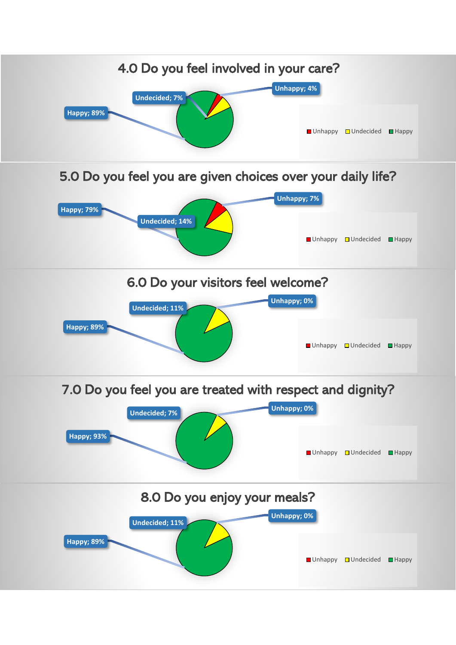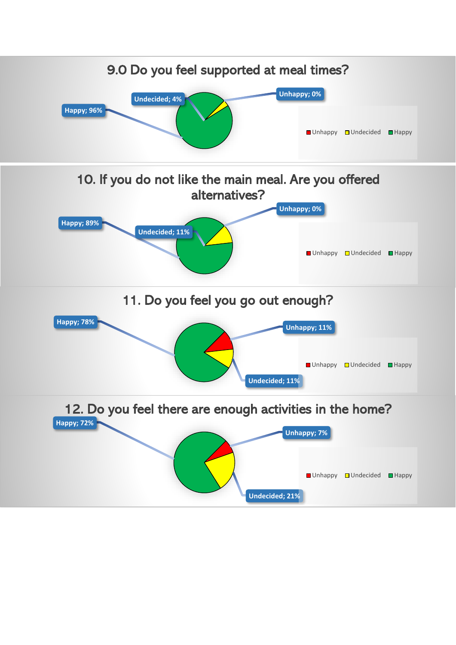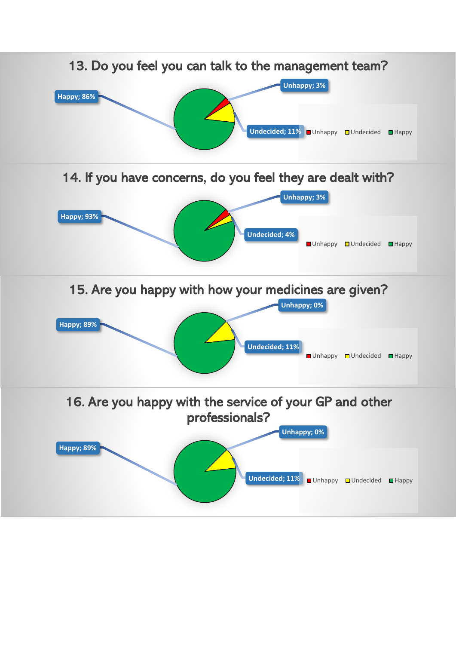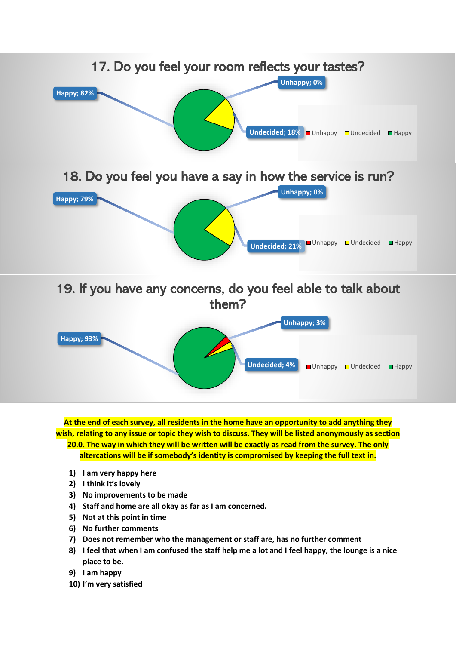

**At the end of each survey, all residents in the home have an opportunity to add anything they wish, relating to any issue or topic they wish to discuss. They will be listed anonymously as section 20.0. The way in which they will be written will be exactly as read from the survey. The only altercations will be if somebody's identity is compromised by keeping the full text in.**

- **1) I am very happy here**
- **2) I think it's lovely**
- **3) No improvements to be made**
- **4) Staff and home are all okay as far as I am concerned.**
- **5) Not at this point in time**
- **6) No further comments**
- **7) Does not remember who the management or staff are, has no further comment**
- **8) I feel that when I am confused the staff help me a lot and I feel happy, the lounge is a nice place to be.**
- **9) I am happy**
- **10) I'm very satisfied**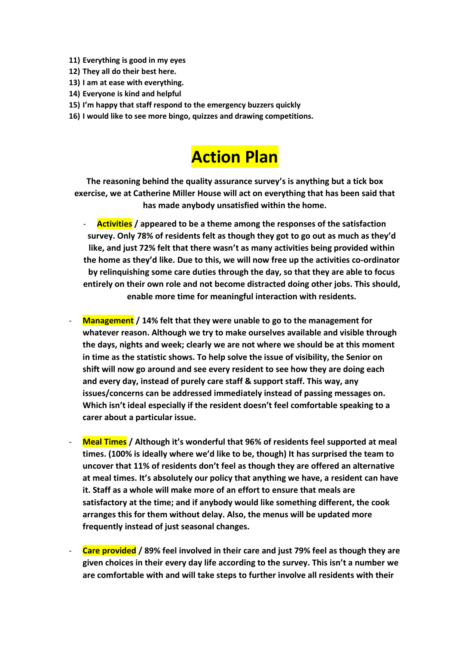- **11) Everything is good in my eyes**
- **12) They all do their best here.**
- **13) I am at ease with everything.**
- **14) Everyone is kind and helpful**
- **15) I'm happy that staff respond to the emergency buzzers quickly**
- **16) I would like to see more bingo, quizzes and drawing competitions.**

## **Action Plan**

**The reasoning behind the quality assurance survey's is anything but a tick box exercise, we at Catherine Miller House will act on everything that has been said that has made anybody unsatisfied within the home.** 

- **Activities / appeared to be a theme among the responses of the satisfaction survey. Only 78% of residents felt as though they got to go out as much as they'd like, and just 72% felt that there wasn't as many activities being provided within the home as they'd like. Due to this, we will now free up the activities co-ordinator by relinquishing some care duties through the day, so that they are able to focus entirely on their own role and not become distracted doing other jobs. This should, enable more time for meaningful interaction with residents.**
- **Management / 14% felt that they were unable to go to the management for whatever reason. Although we try to make ourselves available and visible through the days, nights and week; clearly we are not where we should be at this moment in time as the statistic shows. To help solve the issue of visibility, the Senior on shift will now go around and see every resident to see how they are doing each and every day, instead of purely care staff & support staff. This way, any issues/concerns can be addressed immediately instead of passing messages on. Which isn't ideal especially if the resident doesn't feel comfortable speaking to a carer about a particular issue.**
- **Meal Times / Although it's wonderful that 96% of residents feel supported at meal times. (100% is ideally where we'd like to be, though) It has surprised the team to uncover that 11% of residents don't feel as though they are offered an alternative at meal times. It's absolutely our policy that anything we have, a resident can have it. Staff as a whole will make more of an effort to ensure that meals are satisfactory at the time; and if anybody would like something different, the cook arranges this for them without delay. Also, the menus will be updated more frequently instead of just seasonal changes.**
- **Care provided / 89% feel involved in their care and just 79% feel as though they are given choices in their every day life according to the survey. This isn't a number we are comfortable with and will take steps to further involve all residents with their**